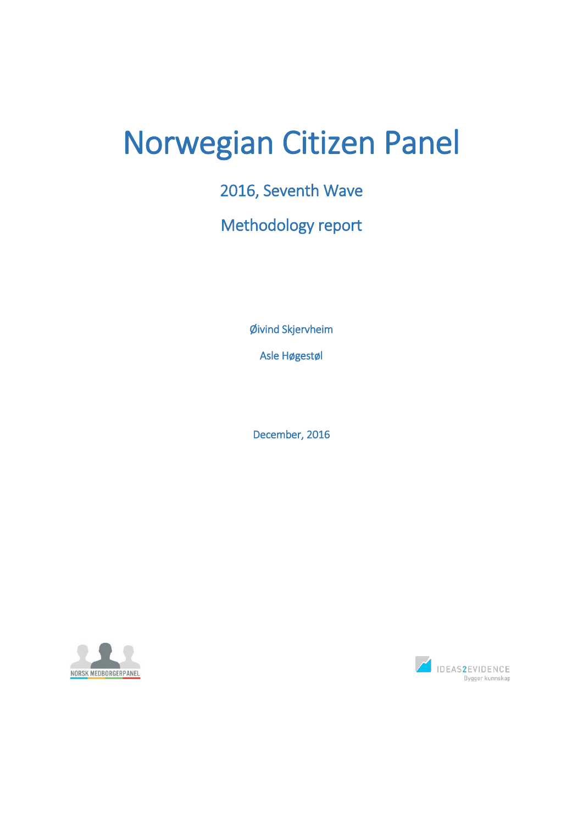# Norwegian Citizen Panel

2016, Seventh Wave

Methodology report

Øivind Skjervheim

Asle Høgestøl

December, 2016



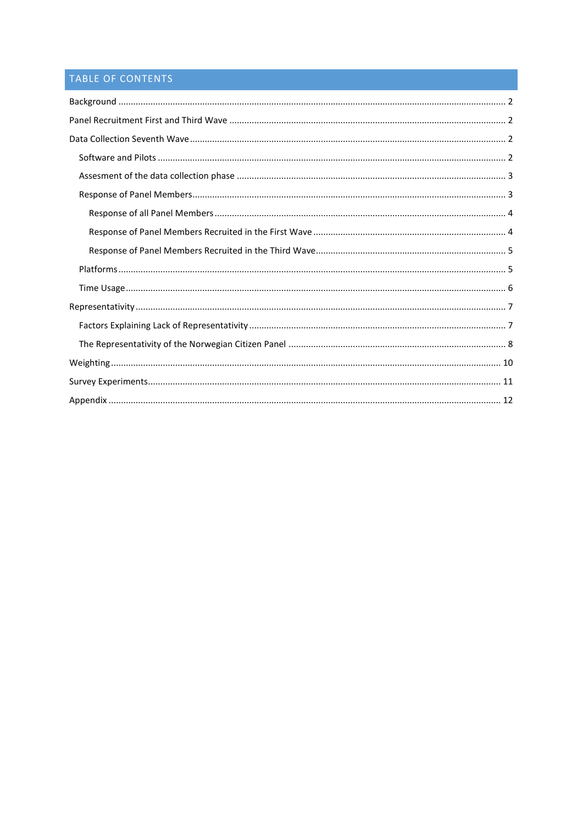# TABLE OF CONTENTS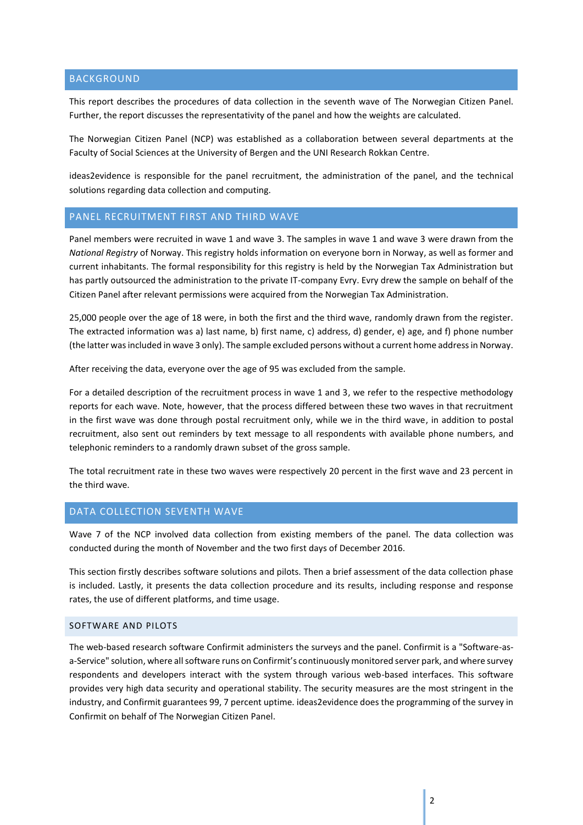## <span id="page-2-0"></span>BACKGROUND

This report describes the procedures of data collection in the seventh wave of The Norwegian Citizen Panel. Further, the report discusses the representativity of the panel and how the weights are calculated.

The Norwegian Citizen Panel (NCP) was established as a collaboration between several departments at the Faculty of Social Sciences at the University of Bergen and the UNI Research Rokkan Centre.

ideas2evidence is responsible for the panel recruitment, the administration of the panel, and the technical solutions regarding data collection and computing.

## <span id="page-2-1"></span>PANEL RECRUITMENT FIRST AND THIRD WAVE

Panel members were recruited in wave 1 and wave 3. The samples in wave 1 and wave 3 were drawn from the *National Registry* of Norway. This registry holds information on everyone born in Norway, as well as former and current inhabitants. The formal responsibility for this registry is held by the Norwegian Tax Administration but has partly outsourced the administration to the private IT-company Evry. Evry drew the sample on behalf of the Citizen Panel after relevant permissions were acquired from the Norwegian Tax Administration.

25,000 people over the age of 18 were, in both the first and the third wave, randomly drawn from the register. The extracted information was a) last name, b) first name, c) address, d) gender, e) age, and f) phone number (the latter was included in wave 3 only). The sample excluded persons without a current home address in Norway.

After receiving the data, everyone over the age of 95 was excluded from the sample.

For a detailed description of the recruitment process in wave 1 and 3, we refer to the respective methodology reports for each wave. Note, however, that the process differed between these two waves in that recruitment in the first wave was done through postal recruitment only, while we in the third wave, in addition to postal recruitment, also sent out reminders by text message to all respondents with available phone numbers, and telephonic reminders to a randomly drawn subset of the gross sample.

The total recruitment rate in these two waves were respectively 20 percent in the first wave and 23 percent in the third wave.

## <span id="page-2-2"></span>DATA COLLECTION SEVENTH WAVE

Wave 7 of the NCP involved data collection from existing members of the panel. The data collection was conducted during the month of November and the two first days of December 2016.

This section firstly describes software solutions and pilots. Then a brief assessment of the data collection phase is included. Lastly, it presents the data collection procedure and its results, including response and response rates, the use of different platforms, and time usage.

## <span id="page-2-3"></span>SOFTWARE AND PILOTS

The web-based research software Confirmit administers the surveys and the panel. Confirmit is a "Software-asa-Service" solution, where all software runs on Confirmit's continuously monitored server park, and where survey respondents and developers interact with the system through various web-based interfaces. This software provides very high data security and operational stability. The security measures are the most stringent in the industry, and Confirmit guarantees 99, 7 percent uptime. ideas2evidence does the programming of the survey in Confirmit on behalf of The Norwegian Citizen Panel.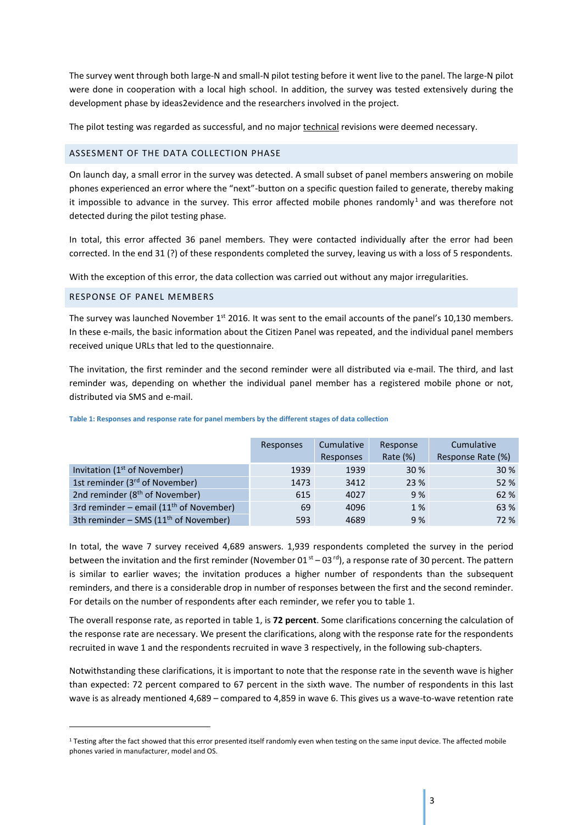The survey went through both large-N and small-N pilot testing before it went live to the panel. The large-N pilot were done in cooperation with a local high school. In addition, the survey was tested extensively during the development phase by ideas2evidence and the researchers involved in the project.

The pilot testing was regarded as successful, and no major technical revisions were deemed necessary.

#### <span id="page-3-0"></span>ASSESMENT OF THE DATA COLLECTION PHASE

On launch day, a small error in the survey was detected. A small subset of panel members answering on mobile phones experienced an error where the "next"-button on a specific question failed to generate, thereby making it impossible to advance in the survey. This error affected mobile phones randomly<sup>1</sup> and was therefore not detected during the pilot testing phase.

In total, this error affected 36 panel members. They were contacted individually after the error had been corrected. In the end 31 (?) of these respondents completed the survey, leaving us with a loss of 5 respondents.

With the exception of this error, the data collection was carried out without any major irregularities.

#### <span id="page-3-1"></span>RESPONSE OF PANEL MEMBERS

**.** 

The survey was launched November  $1<sup>st</sup>$  2016. It was sent to the email accounts of the panel's 10,130 members. In these e-mails, the basic information about the Citizen Panel was repeated, and the individual panel members received unique URLs that led to the questionnaire.

The invitation, the first reminder and the second reminder were all distributed via e-mail. The third, and last reminder was, depending on whether the individual panel member has a registered mobile phone or not, distributed via SMS and e-mail.

|                                                   | Responses | Cumulative<br>Responses | Response<br>Rate $(\%)$ | Cumulative<br>Response Rate (%) |
|---------------------------------------------------|-----------|-------------------------|-------------------------|---------------------------------|
| Invitation $(1st$ of November)                    | 1939      | 1939                    | 30 %                    | 30 %                            |
| 1st reminder (3 <sup>rd</sup> of November)        | 1473      | 3412                    | 23 %                    | 52 %                            |
| 2nd reminder (8 <sup>th</sup> of November)        | 615       | 4027                    | 9%                      | 62 %                            |
| 3rd reminder – email ( $11th$ of November)        | 69        | 4096                    | 1 %                     | 63 %                            |
| 3th reminder - SMS (11 <sup>th</sup> of November) | 593       | 4689                    | 9%                      | 72 %                            |

**Table 1: Responses and response rate for panel members by the different stages of data collection**

In total, the wave 7 survey received 4,689 answers. 1,939 respondents completed the survey in the period between the invitation and the first reminder (November 01 $st - 03$  rd), a response rate of 30 percent. The pattern is similar to earlier waves; the invitation produces a higher number of respondents than the subsequent reminders, and there is a considerable drop in number of responses between the first and the second reminder. For details on the number of respondents after each reminder, we refer you to table 1.

The overall response rate, as reported in table 1, is **72 percent**. Some clarifications concerning the calculation of the response rate are necessary. We present the clarifications, along with the response rate for the respondents recruited in wave 1 and the respondents recruited in wave 3 respectively, in the following sub-chapters.

Notwithstanding these clarifications, it is important to note that the response rate in the seventh wave is higher than expected: 72 percent compared to 67 percent in the sixth wave. The number of respondents in this last wave is as already mentioned 4,689 – compared to 4,859 in wave 6. This gives us a wave-to-wave retention rate

<sup>&</sup>lt;sup>1</sup> Testing after the fact showed that this error presented itself randomly even when testing on the same input device. The affected mobile phones varied in manufacturer, model and OS.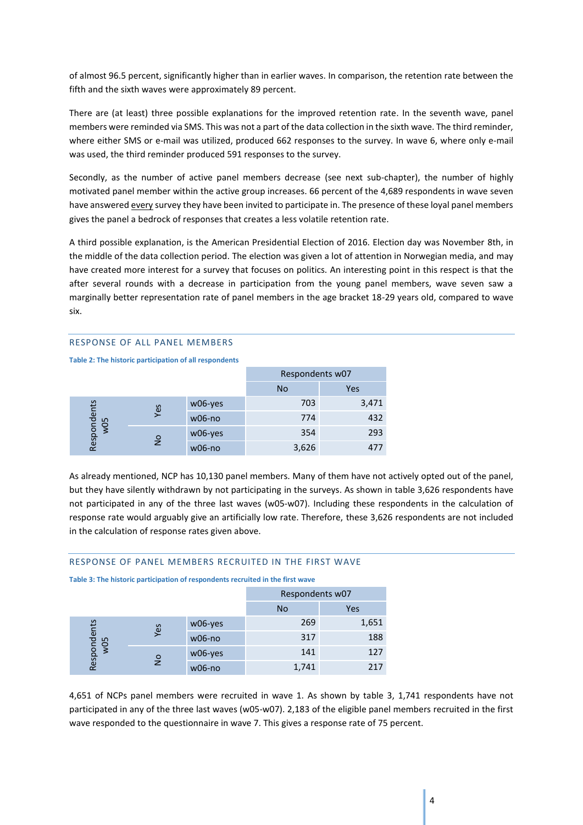of almost 96.5 percent, significantly higher than in earlier waves. In comparison, the retention rate between the fifth and the sixth waves were approximately 89 percent.

There are (at least) three possible explanations for the improved retention rate. In the seventh wave, panel members were reminded via SMS. This was not a part of the data collection in the sixth wave. The third reminder, where either SMS or e-mail was utilized, produced 662 responses to the survey. In wave 6, where only e-mail was used, the third reminder produced 591 responses to the survey.

Secondly, as the number of active panel members decrease (see next sub-chapter), the number of highly motivated panel member within the active group increases. 66 percent of the 4,689 respondents in wave seven have answered every survey they have been invited to participate in. The presence of these loyal panel members gives the panel a bedrock of responses that creates a less volatile retention rate.

A third possible explanation, is the American Presidential Election of 2016. Election day was November 8th, in the middle of the data collection period. The election was given a lot of attention in Norwegian media, and may have created more interest for a survey that focuses on politics. An interesting point in this respect is that the after several rounds with a decrease in participation from the young panel members, wave seven saw a marginally better representation rate of panel members in the age bracket 18-29 years old, compared to wave six.

#### <span id="page-4-0"></span>RESPONSE OF ALL PANEL MEMBERS

**Table 2: The historic participation of all respondents**

|                                            |          |          | Respondents w07 |            |  |
|--------------------------------------------|----------|----------|-----------------|------------|--|
|                                            |          |          | <b>No</b>       | <b>Yes</b> |  |
|                                            |          | w06-yes  | 703             | 3,471      |  |
| Respondents<br>w05<br>Yes<br>$\frac{1}{2}$ | $w06-no$ | 774      | 432             |            |  |
|                                            | w06-yes  | 354      | 293             |            |  |
|                                            |          | $w06-no$ | 3,626           |            |  |

As already mentioned, NCP has 10,130 panel members. Many of them have not actively opted out of the panel, but they have silently withdrawn by not participating in the surveys. As shown in table 3,626 respondents have not participated in any of the three last waves (w05-w07). Including these respondents in the calculation of response rate would arguably give an artificially low rate. Therefore, these 3,626 respondents are not included in the calculation of response rates given above.

## <span id="page-4-1"></span>RESPONSE OF PANEL MEMBERS RECRUITED IN THE FIRST WAVE

**Table 3: The historic participation of respondents recruited in the first wave**

|                                            |          |          | Respondents w07 |       |  |
|--------------------------------------------|----------|----------|-----------------|-------|--|
|                                            |          |          | No              | Yes   |  |
|                                            |          | w06-yes  | 269             | 1,651 |  |
| Respondents<br>w05<br>Yes<br>$\frac{1}{2}$ | $w06-no$ | 317      | 188             |       |  |
|                                            |          | w06-yes  | 141             | 127   |  |
|                                            |          | $w06-no$ | 1,741           | 217   |  |

4,651 of NCPs panel members were recruited in wave 1. As shown by table 3, 1,741 respondents have not participated in any of the three last waves (w05-w07). 2,183 of the eligible panel members recruited in the first wave responded to the questionnaire in wave 7. This gives a response rate of 75 percent.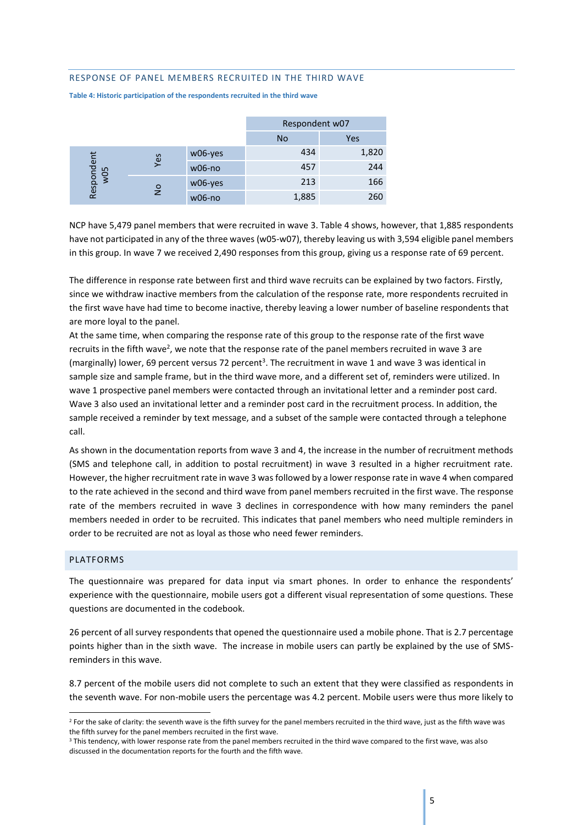#### <span id="page-5-0"></span>RESPONSE OF PANEL MEMBERS RECRUITED IN THE THIRD WAVE

|               |                          |          | Respondent w07 |       |  |
|---------------|--------------------------|----------|----------------|-------|--|
|               |                          |          | <b>No</b>      | Yes   |  |
|               | Respondent<br>w05<br>Yes | w06-yes  | 434            | 1,820 |  |
|               |                          | $w06-no$ | 457            | 244   |  |
|               |                          | w06-yes  | 213            | 166   |  |
| $\frac{1}{2}$ | $w06-no$                 | 1,885    | 260            |       |  |

**Table 4: Historic participation of the respondents recruited in the third wave**

NCP have 5,479 panel members that were recruited in wave 3. Table 4 shows, however, that 1,885 respondents have not participated in any of the three waves (w05-w07), thereby leaving us with 3,594 eligible panel members in this group. In wave 7 we received 2,490 responses from this group, giving us a response rate of 69 percent.

The difference in response rate between first and third wave recruits can be explained by two factors. Firstly, since we withdraw inactive members from the calculation of the response rate, more respondents recruited in the first wave have had time to become inactive, thereby leaving a lower number of baseline respondents that are more loyal to the panel.

At the same time, when comparing the response rate of this group to the response rate of the first wave recruits in the fifth wave<sup>2</sup>, we note that the response rate of the panel members recruited in wave 3 are (marginally) lower, 69 percent versus 72 percent<sup>3</sup>. The recruitment in wave 1 and wave 3 was identical in sample size and sample frame, but in the third wave more, and a different set of, reminders were utilized. In wave 1 prospective panel members were contacted through an invitational letter and a reminder post card. Wave 3 also used an invitational letter and a reminder post card in the recruitment process. In addition, the sample received a reminder by text message, and a subset of the sample were contacted through a telephone call.

As shown in the documentation reports from wave 3 and 4, the increase in the number of recruitment methods (SMS and telephone call, in addition to postal recruitment) in wave 3 resulted in a higher recruitment rate. However, the higher recruitment rate in wave 3 wasfollowed by a lower response rate in wave 4 when compared to the rate achieved in the second and third wave from panel members recruited in the first wave. The response rate of the members recruited in wave 3 declines in correspondence with how many reminders the panel members needed in order to be recruited. This indicates that panel members who need multiple reminders in order to be recruited are not as loyal as those who need fewer reminders.

#### <span id="page-5-1"></span>PLATFORMS

**.** 

The questionnaire was prepared for data input via smart phones. In order to enhance the respondents' experience with the questionnaire, mobile users got a different visual representation of some questions. These questions are documented in the codebook.

26 percent of all survey respondents that opened the questionnaire used a mobile phone. That is 2.7 percentage points higher than in the sixth wave. The increase in mobile users can partly be explained by the use of SMSreminders in this wave.

8.7 percent of the mobile users did not complete to such an extent that they were classified as respondents in the seventh wave. For non-mobile users the percentage was 4.2 percent. Mobile users were thus more likely to

<sup>&</sup>lt;sup>2</sup> For the sake of clarity: the seventh wave is the fifth survey for the panel members recruited in the third wave, just as the fifth wave was the fifth survey for the panel members recruited in the first wave.

<sup>&</sup>lt;sup>3</sup> This tendency, with lower response rate from the panel members recruited in the third wave compared to the first wave, was also discussed in the documentation reports for the fourth and the fifth wave.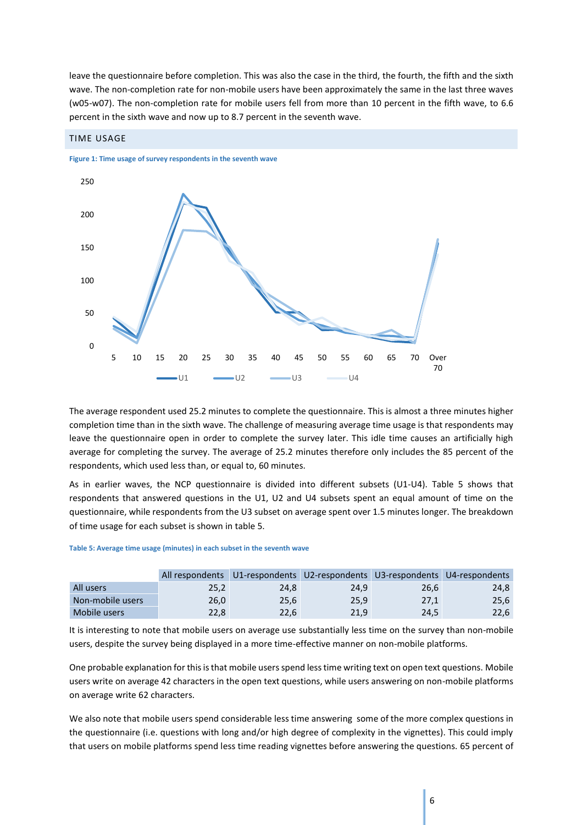leave the questionnaire before completion. This was also the case in the third, the fourth, the fifth and the sixth wave. The non-completion rate for non-mobile users have been approximately the same in the last three waves (w05-w07). The non-completion rate for mobile users fell from more than 10 percent in the fifth wave, to 6.6 percent in the sixth wave and now up to 8.7 percent in the seventh wave.



#### <span id="page-6-0"></span>TIME USAGE

The average respondent used 25.2 minutes to complete the questionnaire. This is almost a three minutes higher completion time than in the sixth wave. The challenge of measuring average time usage is that respondents may leave the questionnaire open in order to complete the survey later. This idle time causes an artificially high average for completing the survey. The average of 25.2 minutes therefore only includes the 85 percent of the respondents, which used less than, or equal to, 60 minutes.

As in earlier waves, the NCP questionnaire is divided into different subsets (U1-U4). Table 5 shows that respondents that answered questions in the U1, U2 and U4 subsets spent an equal amount of time on the questionnaire, while respondents from the U3 subset on average spent over 1.5 minutes longer. The breakdown of time usage for each subset is shown in table 5.

#### **Table 5: Average time usage (minutes) in each subset in the seventh wave**

|                  | All respondents | U1-respondents U2-respondents U3-respondents U4-respondents |      |      |      |
|------------------|-----------------|-------------------------------------------------------------|------|------|------|
| All users        | 25,2            | 24.8                                                        | 24.9 | 26,6 | 24,8 |
| Non-mobile users | 26.0            | 25,6                                                        | 25.9 | 27.1 | 25,6 |
| Mobile users     | 22.8            | 22.6                                                        | 21.9 | 24,5 | 22,6 |

It is interesting to note that mobile users on average use substantially less time on the survey than non-mobile users, despite the survey being displayed in a more time-effective manner on non-mobile platforms.

One probable explanation for this is that mobile users spend less time writing text on open text questions. Mobile users write on average 42 characters in the open text questions, while users answering on non-mobile platforms on average write 62 characters.

We also note that mobile users spend considerable less time answering some of the more complex questions in the questionnaire (i.e. questions with long and/or high degree of complexity in the vignettes). This could imply that users on mobile platforms spend less time reading vignettes before answering the questions. 65 percent of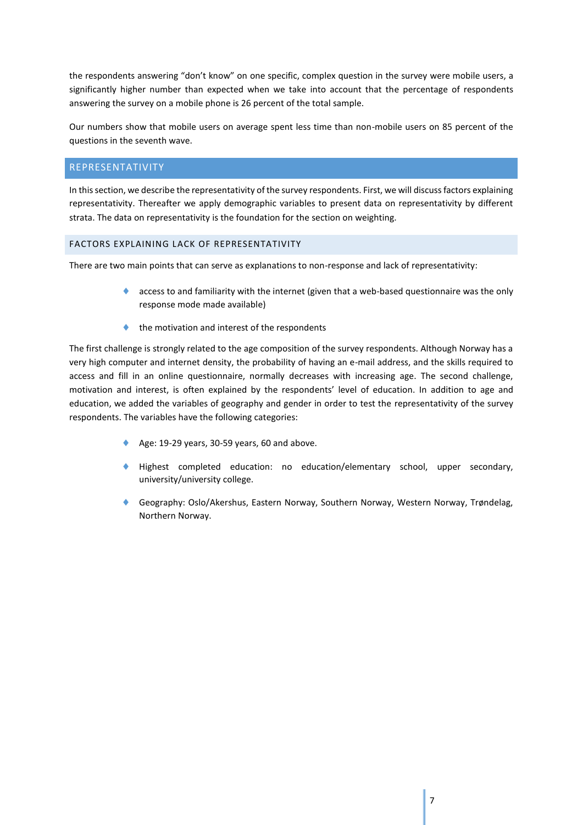the respondents answering "don't know" on one specific, complex question in the survey were mobile users, a significantly higher number than expected when we take into account that the percentage of respondents answering the survey on a mobile phone is 26 percent of the total sample.

Our numbers show that mobile users on average spent less time than non-mobile users on 85 percent of the questions in the seventh wave.

## <span id="page-7-0"></span>REPRESENTATIVITY

In this section, we describe the representativity of the survey respondents. First, we will discuss factors explaining representativity. Thereafter we apply demographic variables to present data on representativity by different strata. The data on representativity is the foundation for the section on weighting.

## <span id="page-7-1"></span>FACTORS EXPLAINING LACK OF REPRESENTATIVITY

There are two main points that can serve as explanations to non-response and lack of representativity:

- **access to and familiarity with the internet (given that a web-based questionnaire was the only** response mode made available)
- the motivation and interest of the respondents

The first challenge is strongly related to the age composition of the survey respondents. Although Norway has a very high computer and internet density, the probability of having an e-mail address, and the skills required to access and fill in an online questionnaire, normally decreases with increasing age. The second challenge, motivation and interest, is often explained by the respondents' level of education. In addition to age and education, we added the variables of geography and gender in order to test the representativity of the survey respondents. The variables have the following categories:

- Age: 19-29 years, 30-59 years, 60 and above.
- Highest completed education: no education/elementary school, upper secondary, university/university college.
- Geography: Oslo/Akershus, Eastern Norway, Southern Norway, Western Norway, Trøndelag, Northern Norway.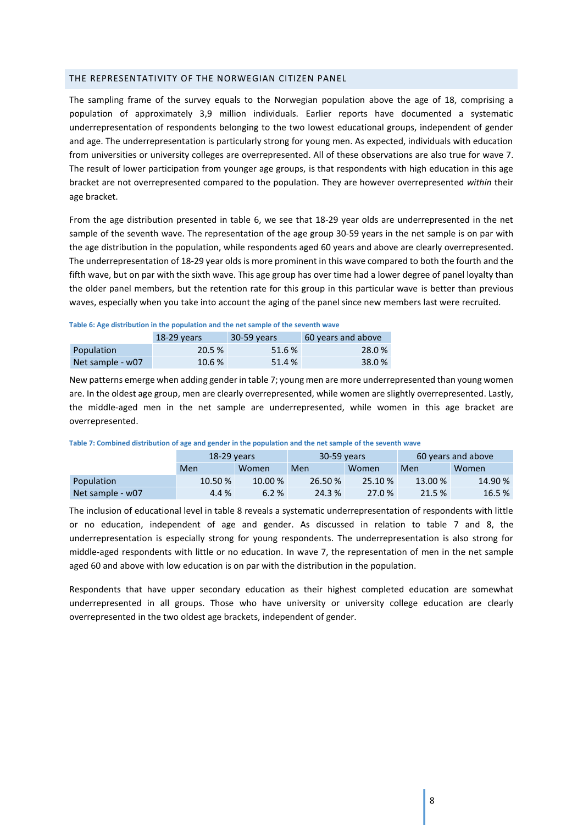## <span id="page-8-0"></span>THE REPRESENTATIVITY OF THE NORWEGIAN CITIZEN PANEL

The sampling frame of the survey equals to the Norwegian population above the age of 18, comprising a population of approximately 3,9 million individuals. Earlier reports have documented a systematic underrepresentation of respondents belonging to the two lowest educational groups, independent of gender and age. The underrepresentation is particularly strong for young men. As expected, individuals with education from universities or university colleges are overrepresented. All of these observations are also true for wave 7. The result of lower participation from younger age groups, is that respondents with high education in this age bracket are not overrepresented compared to the population. They are however overrepresented *within* their age bracket.

From the age distribution presented in table 6, we see that 18-29 year olds are underrepresented in the net sample of the seventh wave. The representation of the age group 30-59 years in the net sample is on par with the age distribution in the population, while respondents aged 60 years and above are clearly overrepresented. The underrepresentation of 18-29 year olds is more prominent in this wave compared to both the fourth and the fifth wave, but on par with the sixth wave. This age group has over time had a lower degree of panel loyalty than the older panel members, but the retention rate for this group in this particular wave is better than previous waves, especially when you take into account the aging of the panel since new members last were recruited.

#### **Table 6: Age distribution in the population and the net sample of the seventh wave**

|                  | $18-29$ years | 30-59 years | 60 years and above |
|------------------|---------------|-------------|--------------------|
| Population       | 20.5 %        | 51.6 %      | 28.0%              |
| Net sample - w07 | 10.6%         | 51.4 %      | 38.0%              |

New patterns emerge when adding gender in table 7; young men are more underrepresented than young women are. In the oldest age group, men are clearly overrepresented, while women are slightly overrepresented. Lastly, the middle-aged men in the net sample are underrepresented, while women in this age bracket are overrepresented.

|                  | $18-29$ years |         | 30-59 years |              | 60 years and above |         |
|------------------|---------------|---------|-------------|--------------|--------------------|---------|
|                  | Men           | Women   |             | Men<br>Women |                    | Women   |
| Population       | 10.50 %       | 10.00 % | 26.50 %     | 25.10 %      | 13.00 %            | 14.90 % |
| Net sample - w07 | 4.4 %         | 6.2%    | 24.3 %      | 27.0 %       | 21.5 %             | 16.5%   |

The inclusion of educational level in table 8 reveals a systematic underrepresentation of respondents with little or no education, independent of age and gender. As discussed in relation to table 7 and 8, the underrepresentation is especially strong for young respondents. The underrepresentation is also strong for middle-aged respondents with little or no education. In wave 7, the representation of men in the net sample aged 60 and above with low education is on par with the distribution in the population.

Respondents that have upper secondary education as their highest completed education are somewhat underrepresented in all groups. Those who have university or university college education are clearly overrepresented in the two oldest age brackets, independent of gender.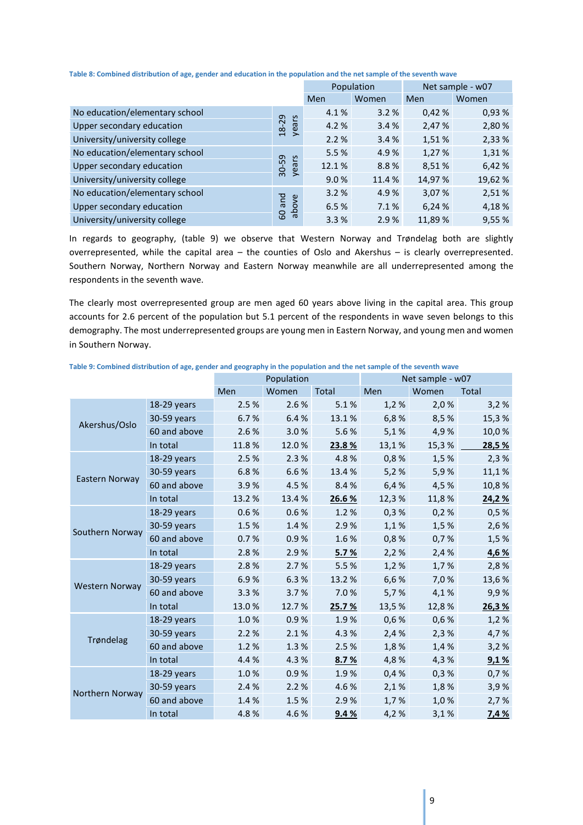|                                |                       | Population |        | Net sample - w07 |         |
|--------------------------------|-----------------------|------------|--------|------------------|---------|
|                                |                       | Men        | Women  | Men              | Women   |
| No education/elementary school |                       | 4.1%       | 3.2%   | 0,42%            | 0,93%   |
| Upper secondary education      | years<br>18-29        | 4.2 %      | 3.4%   | 2,47 %           | 2,80 %  |
| University/university college  |                       | 2.2%       | 3.4%   | 1,51 %           | 2,33 %  |
| No education/elementary school |                       | 5.5%       | 4.9%   | 1,27 %           | 1,31%   |
| Upper secondary education      | 30-59<br>years        | 12.1%      | 8.8%   | 8,51%            | 6,42 %  |
| University/university college  |                       | 9.0%       | 11.4 % | 14,97 %          | 19,62 % |
| No education/elementary school |                       | 3.2%       | 4.9%   | 3,07 %           | 2,51%   |
| Upper secondary education      | pue<br>apove<br>apove | 6.5%       | 7.1%   | 6,24 %           | 4,18%   |
| University/university college  |                       | 3.3%       | 2.9%   | 11,89 %          | 9,55%   |

In regards to geography, (table 9) we observe that Western Norway and Trøndelag both are slightly overrepresented, while the capital area – the counties of Oslo and Akershus – is clearly overrepresented. Southern Norway, Northern Norway and Eastern Norway meanwhile are all underrepresented among the respondents in the seventh wave.

The clearly most overrepresented group are men aged 60 years above living in the capital area. This group accounts for 2.6 percent of the population but 5.1 percent of the respondents in wave seven belongs to this demography. The most underrepresented groups are young men in Eastern Norway, and young men and women in Southern Norway.

|                       |              | Population |       |        |       | Net sample - w07 |        |
|-----------------------|--------------|------------|-------|--------|-------|------------------|--------|
|                       |              | Men        | Women | Total  | Men   | Women            | Total  |
|                       | 18-29 years  | 2.5%       | 2.6%  | 5.1%   | 1,2%  | 2,0%             | 3,2%   |
| Akershus/Oslo         | 30-59 years  | 6.7%       | 6.4%  | 13.1%  | 6,8%  | 8,5%             | 15,3%  |
|                       | 60 and above | 2.6%       | 3.0%  | 5.6%   | 5,1%  | 4,9%             | 10,0%  |
|                       | In total     | 11.8%      | 12.0% | 23.8%  | 13,1% | 15,3%            | 28,5 % |
|                       | 18-29 years  | 2.5%       | 2.3%  | 4.8%   | 0,8%  | 1,5%             | 2,3%   |
|                       | 30-59 years  | 6.8%       | 6.6%  | 13.4 % | 5,2%  | 5,9%             | 11,1%  |
| Eastern Norway        | 60 and above | 3.9%       | 4.5%  | 8.4%   | 6,4%  | 4,5%             | 10,8%  |
|                       | In total     | 13.2 %     | 13.4% | 26.6%  | 12,3% | 11,8%            | 24,2%  |
|                       | 18-29 years  | 0.6%       | 0.6%  | 1.2%   | 0,3%  | 0,2%             | 0,5%   |
| Southern Norway       | 30-59 years  | 1.5%       | 1.4%  | 2.9%   | 1,1%  | 1,5%             | 2,6%   |
|                       | 60 and above | 0.7%       | 0.9%  | 1.6%   | 0,8%  | 0,7%             | 1,5%   |
|                       | In total     | 2.8%       | 2.9%  | 5.7%   | 2,2%  | 2,4%             | 4,6 %  |
|                       | 18-29 years  | 2.8%       | 2.7%  | 5.5%   | 1,2%  | 1,7%             | 2,8%   |
| <b>Western Norway</b> | 30-59 years  | 6.9%       | 6.3%  | 13.2 % | 6,6%  | 7,0%             | 13,6%  |
|                       | 60 and above | 3.3%       | 3.7%  | 7.0%   | 5,7%  | 4,1%             | 9,9%   |
|                       | In total     | 13.0%      | 12.7% | 25.7 % | 13,5% | 12,8%            | 26,3%  |
|                       | 18-29 years  | 1.0%       | 0.9%  | 1.9%   | 0,6%  | 0,6%             | 1,2%   |
| Trøndelag             | 30-59 years  | 2.2%       | 2.1%  | 4.3%   | 2,4%  | 2,3%             | 4,7%   |
|                       | 60 and above | 1.2%       | 1.3%  | 2.5%   | 1,8%  | 1,4%             | 3,2%   |
|                       | In total     | 4.4 %      | 4.3%  | 8.7%   | 4,8%  | 4,3%             | 9,1%   |
|                       | 18-29 years  | 1.0%       | 0.9%  | 1.9%   | 0,4%  | 0,3%             | 0,7%   |
|                       | 30-59 years  | 2.4%       | 2.2%  | 4.6%   | 2,1%  | 1,8%             | 3,9%   |
| Northern Norway       | 60 and above | 1.4%       | 1.5%  | 2.9%   | 1,7%  | 1,0%             | 2,7%   |
|                       | In total     | 4.8%       | 4.6%  | 9.4%   | 4,2%  | 3,1%             | 7,4 %  |

**Table 9: Combined distribution of age, gender and geography in the population and the net sample of the seventh wave**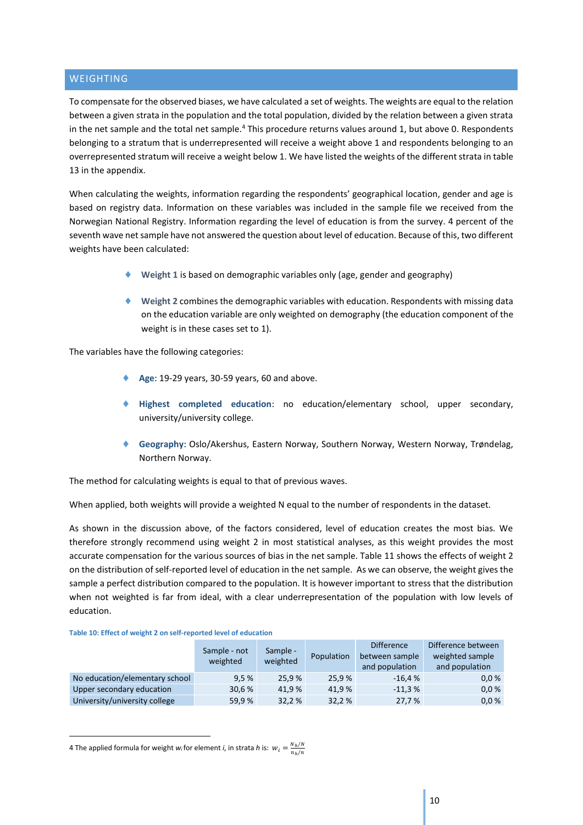## <span id="page-10-0"></span>**WEIGHTING**

To compensate for the observed biases, we have calculated a set of weights. The weights are equal to the relation between a given strata in the population and the total population, divided by the relation between a given strata in the net sample and the total net sample.<sup>4</sup> This procedure returns values around 1, but above 0. Respondents belonging to a stratum that is underrepresented will receive a weight above 1 and respondents belonging to an overrepresented stratum will receive a weight below 1. We have listed the weights of the different strata in table 13 in the appendix.

When calculating the weights, information regarding the respondents' geographical location, gender and age is based on registry data. Information on these variables was included in the sample file we received from the Norwegian National Registry. Information regarding the level of education is from the survey. 4 percent of the seventh wave net sample have not answered the question about level of education. Because of this, two different weights have been calculated:

- **Weight 1** is based on demographic variables only (age, gender and geography)
- **Weight 2** combines the demographic variables with education. Respondents with missing data on the education variable are only weighted on demography (the education component of the weight is in these cases set to 1).

The variables have the following categories:

- **Age**: 19-29 years, 30-59 years, 60 and above.
- **Highest completed education**: no education/elementary school, upper secondary, university/university college.
- **Geography**: Oslo/Akershus, Eastern Norway, Southern Norway, Western Norway, Trøndelag, Northern Norway.

The method for calculating weights is equal to that of previous waves.

When applied, both weights will provide a weighted N equal to the number of respondents in the dataset.

As shown in the discussion above, of the factors considered, level of education creates the most bias. We therefore strongly recommend using weight 2 in most statistical analyses, as this weight provides the most accurate compensation for the various sources of bias in the net sample. Table 11 shows the effects of weight 2 on the distribution of self-reported level of education in the net sample. As we can observe, the weight gives the sample a perfect distribution compared to the population. It is however important to stress that the distribution when not weighted is far from ideal, with a clear underrepresentation of the population with low levels of education.

#### **Table 10: Effect of weight 2 on self-reported level of education**

|                                | Sample - not<br>weighted | Sample -<br>weighted | Population | <b>Difference</b><br>between sample<br>and population | Difference between<br>weighted sample<br>and population |  |
|--------------------------------|--------------------------|----------------------|------------|-------------------------------------------------------|---------------------------------------------------------|--|
| No education/elementary school | 9.5%                     | 25.9%                | 25.9%      | $-16.4%$                                              | 0.0 %                                                   |  |
| Upper secondary education      | 30,6 %                   | 41.9%                | 41.9%      | $-11.3%$                                              | 0.0 %                                                   |  |
| University/university college  | 59,9%                    | 32.2 %               | 32,2%      | 27,7 %                                                | 0.0 %                                                   |  |

4 The applied formula for weight *w*<sub>i</sub> for element *i*, in strata *h* is:  $w_i = \frac{N_h}{n} \frac{m}{m}$  $n_h/n$ 

**-**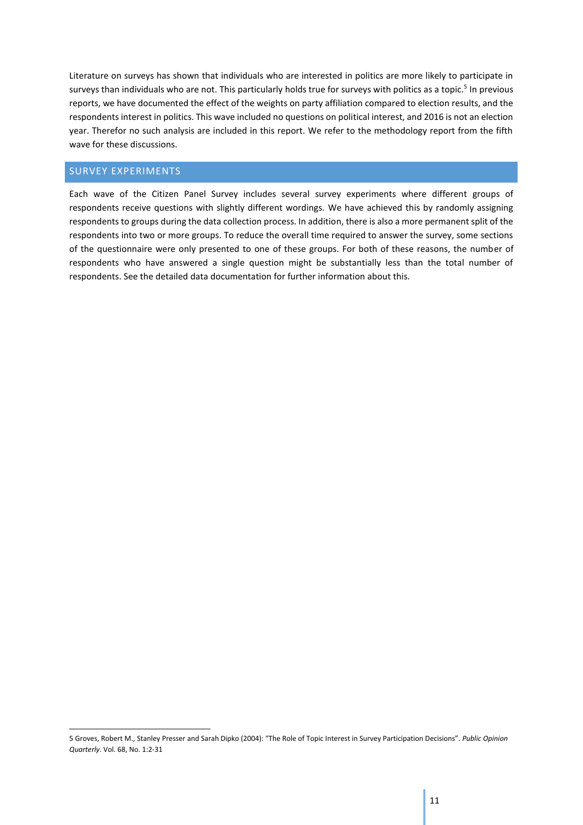Literature on surveys has shown that individuals who are interested in politics are more likely to participate in surveys than individuals who are not. This particularly holds true for surveys with politics as a topic.<sup>5</sup> In previous reports, we have documented the effect of the weights on party affiliation compared to election results, and the respondents interest in politics. This wave included no questions on political interest, and 2016 is not an election year. Therefor no such analysis are included in this report. We refer to the methodology report from the fifth wave for these discussions.

## <span id="page-11-0"></span>SURVEY EXPERIMENTS

1

Each wave of the Citizen Panel Survey includes several survey experiments where different groups of respondents receive questions with slightly different wordings. We have achieved this by randomly assigning respondents to groups during the data collection process. In addition, there is also a more permanent split of the respondents into two or more groups. To reduce the overall time required to answer the survey, some sections of the questionnaire were only presented to one of these groups. For both of these reasons, the number of respondents who have answered a single question might be substantially less than the total number of respondents. See the detailed data documentation for further information about this.

<sup>5</sup> Groves, Robert M., Stanley Presser and Sarah Dipko (2004): "The Role of Topic Interest in Survey Participation Decisions". *Public Opinion Quarterly*. Vol. 68, No. 1:2-31